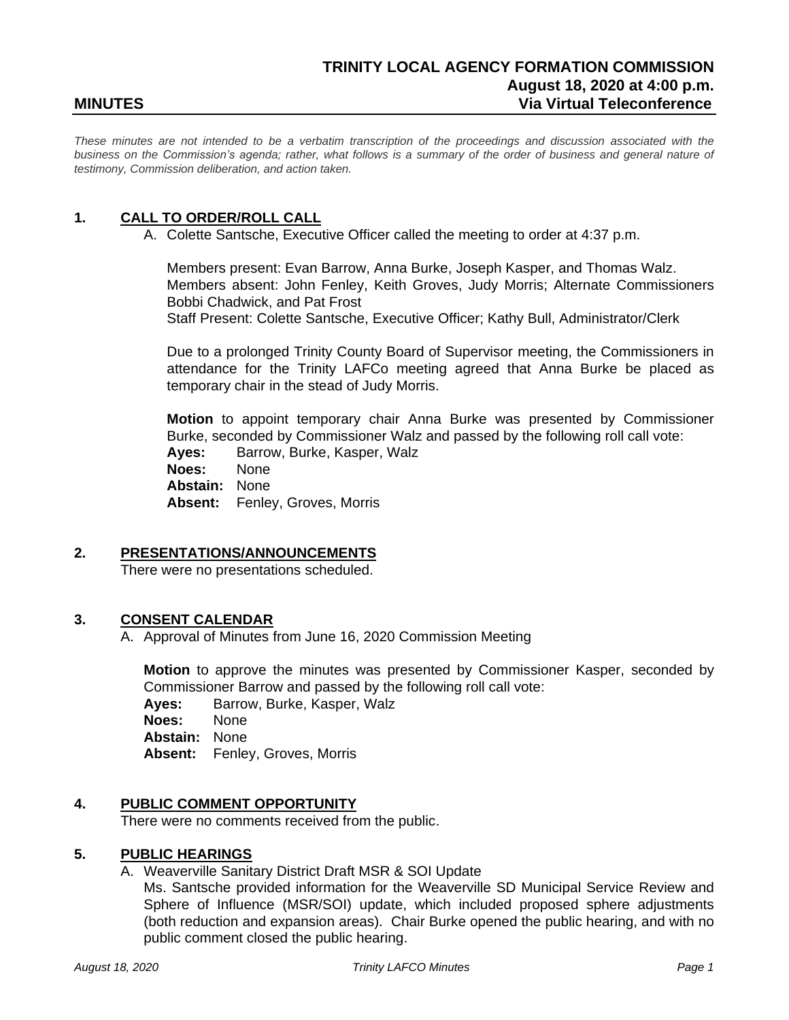# **TRINITY LOCAL AGENCY FORMATION COMMISSION August 18, 2020 at 4:00 p.m. MINUTES Via Virtual Teleconference**

*These minutes are not intended to be a verbatim transcription of the proceedings and discussion associated with the business on the Commission's agenda; rather, what follows is a summary of the order of business and general nature of testimony, Commission deliberation, and action taken.*

### **1. CALL TO ORDER/ROLL CALL**

A. Colette Santsche, Executive Officer called the meeting to order at 4:37 p.m.

Members present: Evan Barrow, Anna Burke, Joseph Kasper, and Thomas Walz. Members absent: John Fenley, Keith Groves, Judy Morris; Alternate Commissioners Bobbi Chadwick, and Pat Frost Staff Present: Colette Santsche, Executive Officer; Kathy Bull, Administrator/Clerk

Due to a prolonged Trinity County Board of Supervisor meeting, the Commissioners in attendance for the Trinity LAFCo meeting agreed that Anna Burke be placed as temporary chair in the stead of Judy Morris.

**Motion** to appoint temporary chair Anna Burke was presented by Commissioner Burke, seconded by Commissioner Walz and passed by the following roll call vote:

**Ayes:** Barrow, Burke, Kasper, Walz

**Noes:** None

**Abstain:** None

**Absent:** Fenley, Groves, Morris

#### **2. PRESENTATIONS/ANNOUNCEMENTS**

There were no presentations scheduled.

## **3. CONSENT CALENDAR**

A. Approval of Minutes from June 16, 2020 Commission Meeting

**Motion** to approve the minutes was presented by Commissioner Kasper, seconded by Commissioner Barrow and passed by the following roll call vote:

**Ayes:** Barrow, Burke, Kasper, Walz

**Noes:** None

**Abstain:** None

**Absent:** Fenley, Groves, Morris

#### **4. PUBLIC COMMENT OPPORTUNITY**

There were no comments received from the public.

#### **5. PUBLIC HEARINGS**

A. Weaverville Sanitary District Draft MSR & SOI Update

Ms. Santsche provided information for the Weaverville SD Municipal Service Review and Sphere of Influence (MSR/SOI) update, which included proposed sphere adjustments (both reduction and expansion areas). Chair Burke opened the public hearing, and with no public comment closed the public hearing.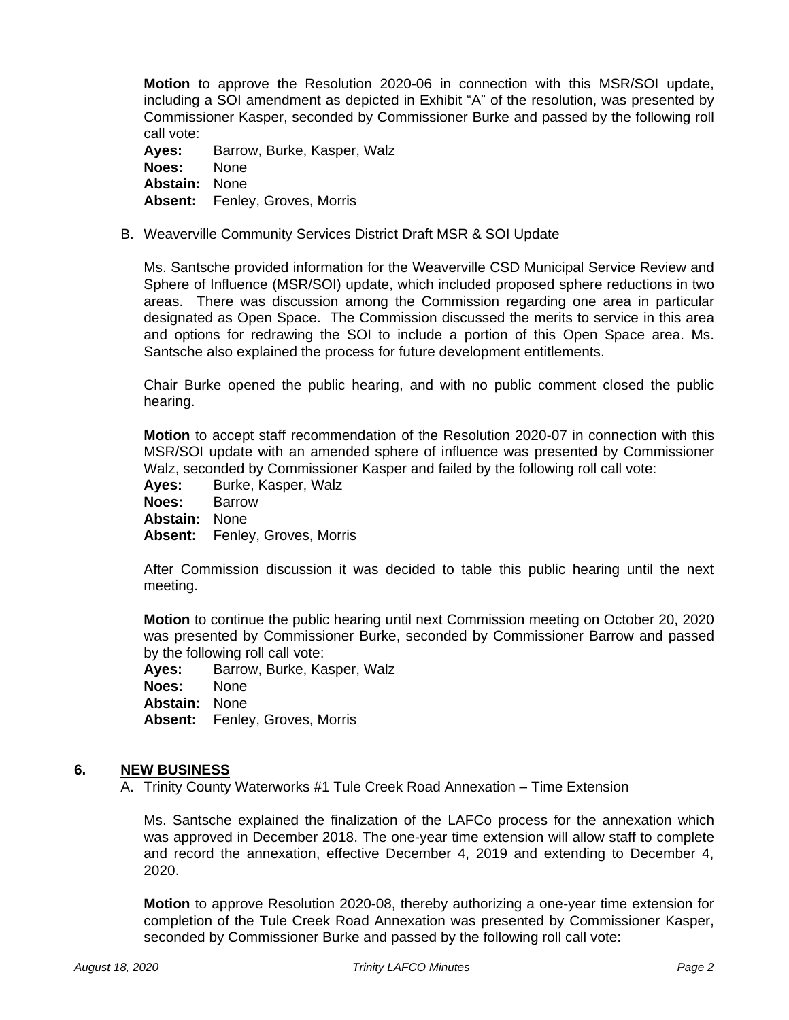**Motion** to approve the Resolution 2020-06 in connection with this MSR/SOI update, including a SOI amendment as depicted in Exhibit "A" of the resolution, was presented by Commissioner Kasper, seconded by Commissioner Burke and passed by the following roll call vote:

**Ayes:** Barrow, Burke, Kasper, Walz **Noes:** None **Abstain:** None **Absent:** Fenley, Groves, Morris

B. Weaverville Community Services District Draft MSR & SOI Update

Ms. Santsche provided information for the Weaverville CSD Municipal Service Review and Sphere of Influence (MSR/SOI) update, which included proposed sphere reductions in two areas. There was discussion among the Commission regarding one area in particular designated as Open Space. The Commission discussed the merits to service in this area and options for redrawing the SOI to include a portion of this Open Space area. Ms. Santsche also explained the process for future development entitlements.

Chair Burke opened the public hearing, and with no public comment closed the public hearing.

**Motion** to accept staff recommendation of the Resolution 2020-07 in connection with this MSR/SOI update with an amended sphere of influence was presented by Commissioner Walz, seconded by Commissioner Kasper and failed by the following roll call vote:

**Ayes:** Burke, Kasper, Walz

**Noes:** Barrow

**Abstain:** None

**Absent:** Fenley, Groves, Morris

After Commission discussion it was decided to table this public hearing until the next meeting.

**Motion** to continue the public hearing until next Commission meeting on October 20, 2020 was presented by Commissioner Burke, seconded by Commissioner Barrow and passed by the following roll call vote:

**Ayes:** Barrow, Burke, Kasper, Walz **Noes:** None **Abstain:** None **Absent:** Fenley, Groves, Morris

#### **6. NEW BUSINESS**

A. Trinity County Waterworks #1 Tule Creek Road Annexation – Time Extension

Ms. Santsche explained the finalization of the LAFCo process for the annexation which was approved in December 2018. The one-year time extension will allow staff to complete and record the annexation, effective December 4, 2019 and extending to December 4, 2020.

**Motion** to approve Resolution 2020-08, thereby authorizing a one-year time extension for completion of the Tule Creek Road Annexation was presented by Commissioner Kasper, seconded by Commissioner Burke and passed by the following roll call vote: